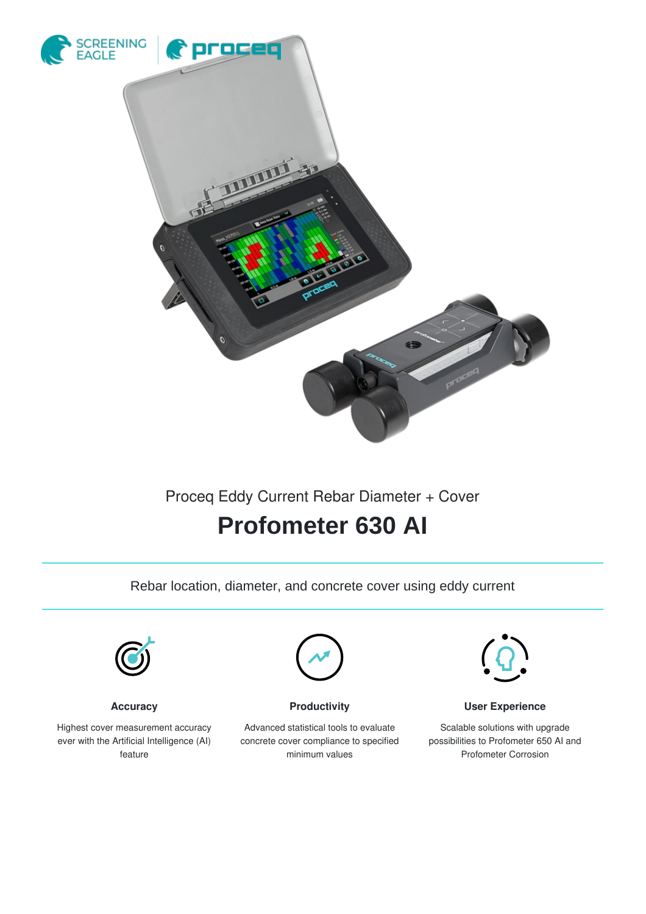

## Proceq Eddy Current Rebar Diameter + Cover

# **Profometer 630 AI**

Rebar location, diameter, and concrete cover using eddy current



**Accuracy**

Highest cover measurement accuracy ever with the Artificial Intelligence (AI) feature



**Productivity**

Advanced statistical tools to evaluate concrete cover compliance to specified minimum values



**User Experience**

Scalable solutions with upgrade possibilities to Profometer 650 AI and Profometer Corrosion